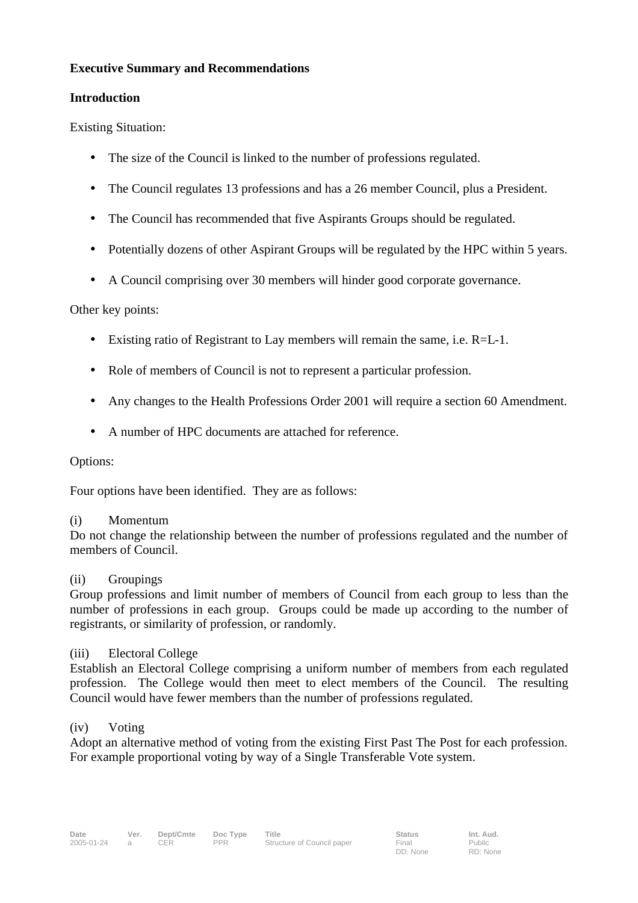## **Executive Summary and Recommendations**

## **Introduction**

Existing Situation:

- The size of the Council is linked to the number of professions regulated.
- The Council regulates 13 professions and has a 26 member Council, plus a President.
- The Council has recommended that five Aspirants Groups should be regulated.
- Potentially dozens of other Aspirant Groups will be regulated by the HPC within 5 years.
- A Council comprising over 30 members will hinder good corporate governance.

# Other key points:

- Existing ratio of Registrant to Lay members will remain the same, i.e.  $R=L-1$ .
- Role of members of Council is not to represent a particular profession.
- Any changes to the Health Professions Order 2001 will require a section 60 Amendment.
- A number of HPC documents are attached for reference.

### Options:

Four options have been identified. They are as follows:

### (i) Momentum

Do not change the relationship between the number of professions regulated and the number of members of Council.

### (ii) Groupings

Group professions and limit number of members of Council from each group to less than the number of professions in each group. Groups could be made up according to the number of registrants, or similarity of profession, or randomly.

### (iii) Electoral College

Establish an Electoral College comprising a uniform number of members from each regulated profession. The College would then meet to elect members of the Council. The resulting Council would have fewer members than the number of professions regulated.

### (iv) Voting

Adopt an alternative method of voting from the existing First Past The Post for each profession. For example proportional voting by way of a Single Transferable Vote system.